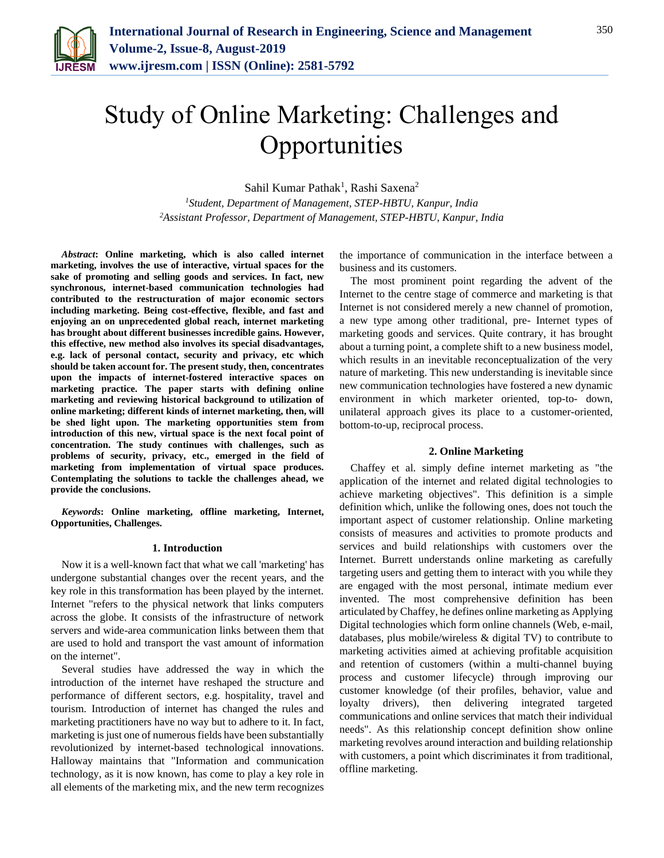

# Study of Online Marketing: Challenges and **Opportunities**

Sahil Kumar Pathak<sup>1</sup>, Rashi Saxena<sup>2</sup>

*<sup>1</sup>Student, Department of Management, STEP-HBTU, Kanpur, India 2Assistant Professor, Department of Management, STEP-HBTU, Kanpur, India*

*Abstract***: Online marketing, which is also called internet marketing, involves the use of interactive, virtual spaces for the sake of promoting and selling goods and services. In fact, new synchronous, internet-based communication technologies had contributed to the restructuration of major economic sectors including marketing. Being cost-effective, flexible, and fast and enjoying an on unprecedented global reach, internet marketing has brought about different businesses incredible gains. However, this effective, new method also involves its special disadvantages, e.g. lack of personal contact, security and privacy, etc which should be taken account for. The present study, then, concentrates upon the impacts of internet-fostered interactive spaces on marketing practice. The paper starts with defining online marketing and reviewing historical background to utilization of online marketing; different kinds of internet marketing, then, will be shed light upon. The marketing opportunities stem from introduction of this new, virtual space is the next focal point of concentration. The study continues with challenges, such as problems of security, privacy, etc., emerged in the field of marketing from implementation of virtual space produces. Contemplating the solutions to tackle the challenges ahead, we provide the conclusions.**

*Keywords***: Online marketing, offline marketing, Internet, Opportunities, Challenges.**

#### **1. Introduction**

Now it is a well-known fact that what we call 'marketing' has undergone substantial changes over the recent years, and the key role in this transformation has been played by the internet. Internet "refers to the physical network that links computers across the globe. It consists of the infrastructure of network servers and wide-area communication links between them that are used to hold and transport the vast amount of information on the internet".

Several studies have addressed the way in which the introduction of the internet have reshaped the structure and performance of different sectors, e.g. hospitality, travel and tourism. Introduction of internet has changed the rules and marketing practitioners have no way but to adhere to it. In fact, marketing is just one of numerous fields have been substantially revolutionized by internet-based technological innovations. Halloway maintains that "Information and communication technology, as it is now known, has come to play a key role in all elements of the marketing mix, and the new term recognizes

the importance of communication in the interface between a business and its customers.

The most prominent point regarding the advent of the Internet to the centre stage of commerce and marketing is that Internet is not considered merely a new channel of promotion, a new type among other traditional, pre- Internet types of marketing goods and services. Quite contrary, it has brought about a turning point, a complete shift to a new business model, which results in an inevitable reconceptualization of the very nature of marketing. This new understanding is inevitable since new communication technologies have fostered a new dynamic environment in which marketer oriented, top-to- down, unilateral approach gives its place to a customer-oriented, bottom-to-up, reciprocal process.

#### **2. Online Marketing**

Chaffey et al. simply define internet marketing as "the application of the internet and related digital technologies to achieve marketing objectives". This definition is a simple definition which, unlike the following ones, does not touch the important aspect of customer relationship. Online marketing consists of measures and activities to promote products and services and build relationships with customers over the Internet. Burrett understands online marketing as carefully targeting users and getting them to interact with you while they are engaged with the most personal, intimate medium ever invented. The most comprehensive definition has been articulated by Chaffey, he defines online marketing as Applying Digital technologies which form online channels (Web, e-mail, databases, plus mobile/wireless & digital TV) to contribute to marketing activities aimed at achieving profitable acquisition and retention of customers (within a multi-channel buying process and customer lifecycle) through improving our customer knowledge (of their profiles, behavior, value and loyalty drivers), then delivering integrated targeted communications and online services that match their individual needs". As this relationship concept definition show online marketing revolves around interaction and building relationship with customers, a point which discriminates it from traditional, offline marketing.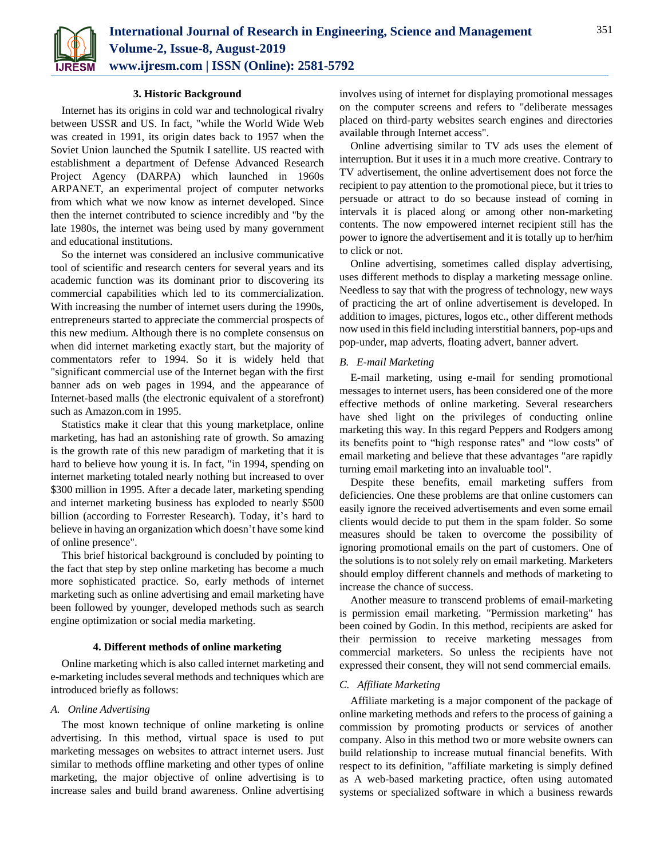

## **3. Historic Background**

Internet has its origins in cold war and technological rivalry between USSR and US. In fact, "while the World Wide Web was created in 1991, its origin dates back to 1957 when the Soviet Union launched the Sputnik I satellite. US reacted with establishment a department of Defense Advanced Research Project Agency (DARPA) which launched in 1960s ARPANET, an experimental project of computer networks from which what we now know as internet developed. Since then the internet contributed to science incredibly and "by the late 1980s, the internet was being used by many government and educational institutions.

So the internet was considered an inclusive communicative tool of scientific and research centers for several years and its academic function was its dominant prior to discovering its commercial capabilities which led to its commercialization. With increasing the number of internet users during the 1990s, entrepreneurs started to appreciate the commercial prospects of this new medium. Although there is no complete consensus on when did internet marketing exactly start, but the majority of commentators refer to 1994. So it is widely held that "significant commercial use of the Internet began with the first banner ads on web pages in 1994, and the appearance of Internet-based malls (the electronic equivalent of a storefront) such as Amazon.com in 1995.

Statistics make it clear that this young marketplace, online marketing, has had an astonishing rate of growth. So amazing is the growth rate of this new paradigm of marketing that it is hard to believe how young it is. In fact, "in 1994, spending on internet marketing totaled nearly nothing but increased to over \$300 million in 1995. After a decade later, marketing spending and internet marketing business has exploded to nearly \$500 billion (according to Forrester Research). Today, it's hard to believe in having an organization which doesn't have some kind of online presence".

This brief historical background is concluded by pointing to the fact that step by step online marketing has become a much more sophisticated practice. So, early methods of internet marketing such as online advertising and email marketing have been followed by younger, developed methods such as search engine optimization or social media marketing.

#### **4. Different methods of online marketing**

Online marketing which is also called internet marketing and e-marketing includes several methods and techniques which are introduced briefly as follows:

# *A. Online Advertising*

The most known technique of online marketing is online advertising. In this method, virtual space is used to put marketing messages on websites to attract internet users. Just similar to methods offline marketing and other types of online marketing, the major objective of online advertising is to increase sales and build brand awareness. Online advertising

involves using of internet for displaying promotional messages on the computer screens and refers to "deliberate messages placed on third-party websites search engines and directories available through Internet access".

Online advertising similar to TV ads uses the element of interruption. But it uses it in a much more creative. Contrary to TV advertisement, the online advertisement does not force the recipient to pay attention to the promotional piece, but it tries to persuade or attract to do so because instead of coming in intervals it is placed along or among other non-marketing contents. The now empowered internet recipient still has the power to ignore the advertisement and it is totally up to her/him to click or not.

Online advertising, sometimes called display advertising, uses different methods to display a marketing message online. Needless to say that with the progress of technology, new ways of practicing the art of online advertisement is developed. In addition to images, pictures, logos etc., other different methods now used in this field including interstitial banners, pop-ups and pop-under, map adverts, floating advert, banner advert.

# *B. E-mail Marketing*

E-mail marketing, using e-mail for sending promotional messages to internet users, has been considered one of the more effective methods of online marketing. Several researchers have shed light on the privileges of conducting online marketing this way. In this regard Peppers and Rodgers among its benefits point to "high response rates" and "low costs" of email marketing and believe that these advantages "are rapidly turning email marketing into an invaluable tool".

Despite these benefits, email marketing suffers from deficiencies. One these problems are that online customers can easily ignore the received advertisements and even some email clients would decide to put them in the spam folder. So some measures should be taken to overcome the possibility of ignoring promotional emails on the part of customers. One of the solutions is to not solely rely on email marketing. Marketers should employ different channels and methods of marketing to increase the chance of success.

Another measure to transcend problems of email-marketing is permission email marketing. "Permission marketing" has been coined by Godin. In this method, recipients are asked for their permission to receive marketing messages from commercial marketers. So unless the recipients have not expressed their consent, they will not send commercial emails.

#### *C. Affiliate Marketing*

Affiliate marketing is a major component of the package of online marketing methods and refers to the process of gaining a commission by promoting products or services of another company. Also in this method two or more website owners can build relationship to increase mutual financial benefits. With respect to its definition, "affiliate marketing is simply defined as A web-based marketing practice, often using automated systems or specialized software in which a business rewards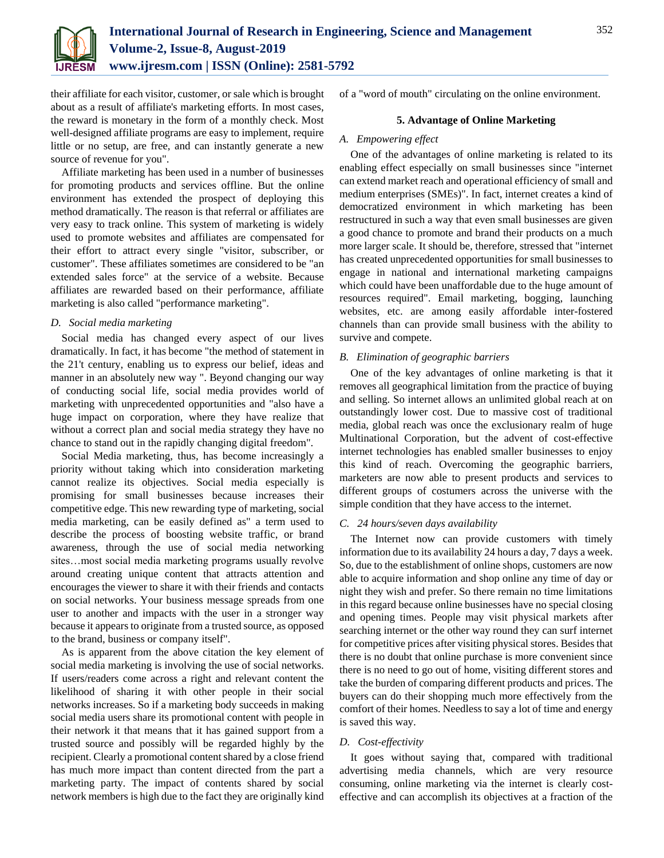

their affiliate for each visitor, customer, or sale which is brought about as a result of affiliate's marketing efforts. In most cases, the reward is monetary in the form of a monthly check. Most well-designed affiliate programs are easy to implement, require little or no setup, are free, and can instantly generate a new source of revenue for you".

Affiliate marketing has been used in a number of businesses for promoting products and services offline. But the online environment has extended the prospect of deploying this method dramatically. The reason is that referral or affiliates are very easy to track online. This system of marketing is widely used to promote websites and affiliates are compensated for their effort to attract every single "visitor, subscriber, or customer". These affiliates sometimes are considered to be "an extended sales force" at the service of a website. Because affiliates are rewarded based on their performance, affiliate marketing is also called "performance marketing".

# *D. Social media marketing*

Social media has changed every aspect of our lives dramatically. In fact, it has become "the method of statement in the 21't century, enabling us to express our belief, ideas and manner in an absolutely new way ". Beyond changing our way of conducting social life, social media provides world of marketing with unprecedented opportunities and "also have a huge impact on corporation, where they have realize that without a correct plan and social media strategy they have no chance to stand out in the rapidly changing digital freedom".

Social Media marketing, thus, has become increasingly a priority without taking which into consideration marketing cannot realize its objectives. Social media especially is promising for small businesses because increases their competitive edge. This new rewarding type of marketing, social media marketing, can be easily defined as" a term used to describe the process of boosting website traffic, or brand awareness, through the use of social media networking sites…most social media marketing programs usually revolve around creating unique content that attracts attention and encourages the viewer to share it with their friends and contacts on social networks. Your business message spreads from one user to another and impacts with the user in a stronger way because it appears to originate from a trusted source, as opposed to the brand, business or company itself".

As is apparent from the above citation the key element of social media marketing is involving the use of social networks. If users/readers come across a right and relevant content the likelihood of sharing it with other people in their social networks increases. So if a marketing body succeeds in making social media users share its promotional content with people in their network it that means that it has gained support from a trusted source and possibly will be regarded highly by the recipient. Clearly a promotional content shared by a close friend has much more impact than content directed from the part a marketing party. The impact of contents shared by social network members is high due to the fact they are originally kind

of a "word of mouth" circulating on the online environment.

## **5. Advantage of Online Marketing**

#### *A. Empowering effect*

One of the advantages of online marketing is related to its enabling effect especially on small businesses since "internet can extend market reach and operational efficiency of small and medium enterprises (SMEs)". In fact, internet creates a kind of democratized environment in which marketing has been restructured in such a way that even small businesses are given a good chance to promote and brand their products on a much more larger scale. It should be, therefore, stressed that "internet has created unprecedented opportunities for small businesses to engage in national and international marketing campaigns which could have been unaffordable due to the huge amount of resources required". Email marketing, bogging, launching websites, etc. are among easily affordable inter-fostered channels than can provide small business with the ability to survive and compete.

# *B. Elimination of geographic barriers*

One of the key advantages of online marketing is that it removes all geographical limitation from the practice of buying and selling. So internet allows an unlimited global reach at on outstandingly lower cost. Due to massive cost of traditional media, global reach was once the exclusionary realm of huge Multinational Corporation, but the advent of cost-effective internet technologies has enabled smaller businesses to enjoy this kind of reach. Overcoming the geographic barriers, marketers are now able to present products and services to different groups of costumers across the universe with the simple condition that they have access to the internet.

# *C. 24 hours/seven days availability*

The Internet now can provide customers with timely information due to its availability 24 hours a day, 7 days a week. So, due to the establishment of online shops, customers are now able to acquire information and shop online any time of day or night they wish and prefer. So there remain no time limitations in this regard because online businesses have no special closing and opening times. People may visit physical markets after searching internet or the other way round they can surf internet for competitive prices after visiting physical stores. Besides that there is no doubt that online purchase is more convenient since there is no need to go out of home, visiting different stores and take the burden of comparing different products and prices. The buyers can do their shopping much more effectively from the comfort of their homes. Needless to say a lot of time and energy is saved this way.

#### *D. Cost-effectivity*

It goes without saying that, compared with traditional advertising media channels, which are very resource consuming, online marketing via the internet is clearly costeffective and can accomplish its objectives at a fraction of the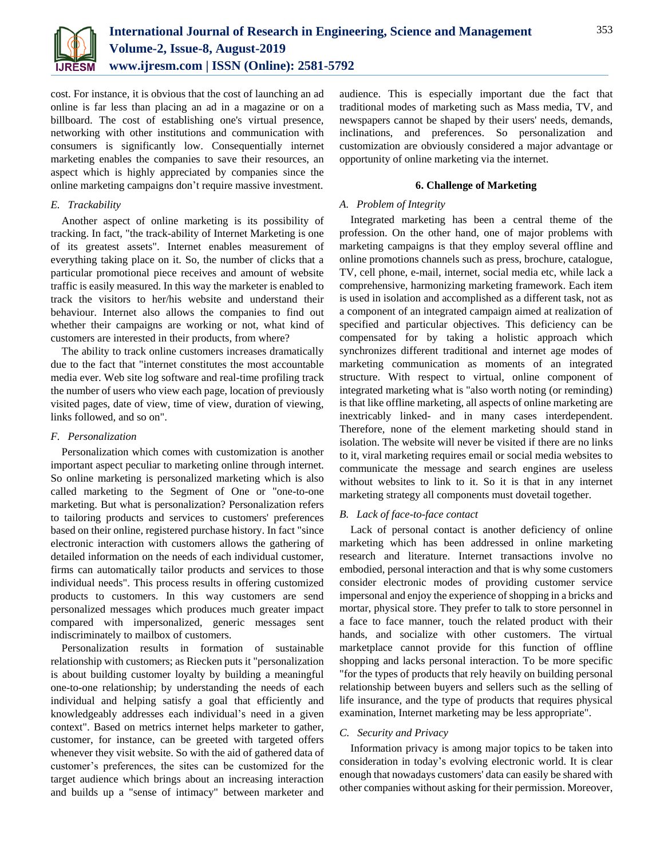

cost. For instance, it is obvious that the cost of launching an ad online is far less than placing an ad in a magazine or on a billboard. The cost of establishing one's virtual presence, networking with other institutions and communication with consumers is significantly low. Consequentially internet marketing enables the companies to save their resources, an aspect which is highly appreciated by companies since the online marketing campaigns don't require massive investment.

# *E. Trackability*

Another aspect of online marketing is its possibility of tracking. In fact, "the track-ability of Internet Marketing is one of its greatest assets". Internet enables measurement of everything taking place on it. So, the number of clicks that a particular promotional piece receives and amount of website traffic is easily measured. In this way the marketer is enabled to track the visitors to her/his website and understand their behaviour. Internet also allows the companies to find out whether their campaigns are working or not, what kind of customers are interested in their products, from where?

The ability to track online customers increases dramatically due to the fact that "internet constitutes the most accountable media ever. Web site log software and real-time profiling track the number of users who view each page, location of previously visited pages, date of view, time of view, duration of viewing, links followed, and so on".

# *F. Personalization*

Personalization which comes with customization is another important aspect peculiar to marketing online through internet. So online marketing is personalized marketing which is also called marketing to the Segment of One or "one-to-one marketing. But what is personalization? Personalization refers to tailoring products and services to customers' preferences based on their online, registered purchase history. In fact "since electronic interaction with customers allows the gathering of detailed information on the needs of each individual customer, firms can automatically tailor products and services to those individual needs". This process results in offering customized products to customers. In this way customers are send personalized messages which produces much greater impact compared with impersonalized, generic messages sent indiscriminately to mailbox of customers.

Personalization results in formation of sustainable relationship with customers; as Riecken puts it "personalization is about building customer loyalty by building a meaningful one-to-one relationship; by understanding the needs of each individual and helping satisfy a goal that efficiently and knowledgeably addresses each individual's need in a given context". Based on metrics internet helps marketer to gather, customer, for instance, can be greeted with targeted offers whenever they visit website. So with the aid of gathered data of customer's preferences, the sites can be customized for the target audience which brings about an increasing interaction and builds up a "sense of intimacy" between marketer and

audience. This is especially important due the fact that traditional modes of marketing such as Mass media, TV, and newspapers cannot be shaped by their users' needs, demands, inclinations, and preferences. So personalization and customization are obviously considered a major advantage or opportunity of online marketing via the internet.

## **6. Challenge of Marketing**

## *A. Problem of Integrity*

Integrated marketing has been a central theme of the profession. On the other hand, one of major problems with marketing campaigns is that they employ several offline and online promotions channels such as press, brochure, catalogue, TV, cell phone, e-mail, internet, social media etc, while lack a comprehensive, harmonizing marketing framework. Each item is used in isolation and accomplished as a different task, not as a component of an integrated campaign aimed at realization of specified and particular objectives. This deficiency can be compensated for by taking a holistic approach which synchronizes different traditional and internet age modes of marketing communication as moments of an integrated structure. With respect to virtual, online component of integrated marketing what is "also worth noting (or reminding) is that like offline marketing, all aspects of online marketing are inextricably linked- and in many cases interdependent. Therefore, none of the element marketing should stand in isolation. The website will never be visited if there are no links to it, viral marketing requires email or social media websites to communicate the message and search engines are useless without websites to link to it. So it is that in any internet marketing strategy all components must dovetail together.

# *B. Lack of face-to-face contact*

Lack of personal contact is another deficiency of online marketing which has been addressed in online marketing research and literature. Internet transactions involve no embodied, personal interaction and that is why some customers consider electronic modes of providing customer service impersonal and enjoy the experience of shopping in a bricks and mortar, physical store. They prefer to talk to store personnel in a face to face manner, touch the related product with their hands, and socialize with other customers. The virtual marketplace cannot provide for this function of offline shopping and lacks personal interaction. To be more specific "for the types of products that rely heavily on building personal relationship between buyers and sellers such as the selling of life insurance, and the type of products that requires physical examination, Internet marketing may be less appropriate".

### *C. Security and Privacy*

Information privacy is among major topics to be taken into consideration in today's evolving electronic world. It is clear enough that nowadays customers' data can easily be shared with other companies without asking for their permission. Moreover,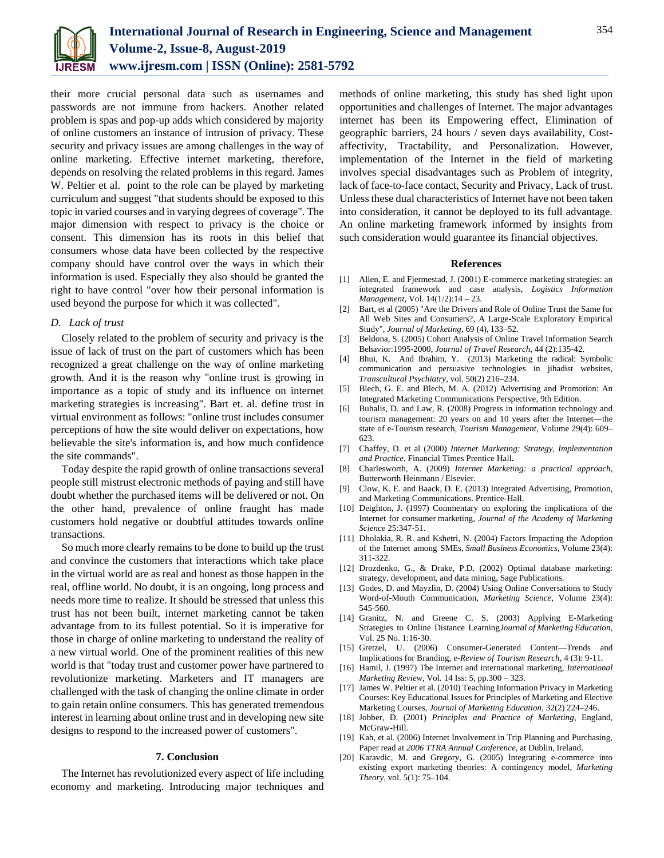

their more crucial personal data such as usernames and passwords are not immune from hackers. Another related problem is spas and pop-up adds which considered by majority of online customers an instance of intrusion of privacy. These security and privacy issues are among challenges in the way of online marketing. Effective internet marketing, therefore, depends on resolving the related problems in this regard. James W. Peltier et al. point to the role can be played by marketing curriculum and suggest "that students should be exposed to this topic in varied courses and in varying degrees of coverage". The major dimension with respect to privacy is the choice or consent. This dimension has its roots in this belief that consumers whose data have been collected by the respective company should have control over the ways in which their information is used. Especially they also should be granted the right to have control "over how their personal information is used beyond the purpose for which it was collected".

## *D. Lack of trust*

Closely related to the problem of security and privacy is the issue of lack of trust on the part of customers which has been recognized a great challenge on the way of online marketing growth. And it is the reason why "online trust is growing in importance as a topic of study and its influence on internet marketing strategies is increasing". Bart et. al. define trust in virtual environment as follows: "online trust includes consumer perceptions of how the site would deliver on expectations, how believable the site's information is, and how much confidence the site commands".

Today despite the rapid growth of online transactions several people still mistrust electronic methods of paying and still have doubt whether the purchased items will be delivered or not. On the other hand, prevalence of online fraught has made customers hold negative or doubtful attitudes towards online transactions.

So much more clearly remains to be done to build up the trust and convince the customers that interactions which take place in the virtual world are as real and honest as those happen in the real, offline world. No doubt, it is an ongoing, long process and needs more time to realize. It should be stressed that unless this trust has not been built, internet marketing cannot be taken advantage from to its fullest potential. So it is imperative for those in charge of online marketing to understand the reality of a new virtual world. One of the prominent realities of this new world is that "today trust and customer power have partnered to revolutionize marketing. Marketers and IT managers are challenged with the task of changing the online climate in order to gain retain online consumers. This has generated tremendous interest in learning about online trust and in developing new site designs to respond to the increased power of customers".

## **7. Conclusion**

The Internet has revolutionized every aspect of life including economy and marketing. Introducing major techniques and methods of online marketing, this study has shed light upon opportunities and challenges of Internet. The major advantages internet has been its Empowering effect, Elimination of geographic barriers, 24 hours / seven days availability, Costaffectivity, Tractability, and Personalization. However, implementation of the Internet in the field of marketing involves special disadvantages such as Problem of integrity, lack of face-to-face contact, Security and Privacy, Lack of trust. Unless these dual characteristics of Internet have not been taken into consideration, it cannot be deployed to its full advantage. An online marketing framework informed by insights from such consideration would guarantee its financial objectives.

### **References**

- [1] Allen, E. and Fjermestad, J. (2001) E-commerce marketing strategies: an integrated framework and case analysis, *Logistics Information Management*, Vol. 14(1/2):14 – 23.
- [2] Bart, et al (2005) "Are the Drivers and Role of Online Trust the Same for All Web Sites and Consumers?, A Large-Scale Exploratory Empirical Study", *Journal of Marketing*, 69 (4), 133–52.
- [3] Beldona, S. (2005) Cohort Analysis of Online Travel Information Search Behavior:1995-2000, *Journal of Travel Research*, 44 (2):135-42.
- [4] Bhui, K. And Ibrahim, Y. (2013) Marketing the radical: Symbolic communication and persuasive technologies in jihadist websites, *Transcultural Psychiatry*, vol. 50(2) 216–234.
- [5] Blech, G. E. and Blech, M. A. (2012) Advertising and Promotion: An Integrated Marketing Communications Perspective, 9th Edition.
- [6] Buhalis, D. and Law, R. (2008) Progress in information technology and tourism management: 20 years on and 10 years after the Internet—the state of e-Tourism research*, Tourism Management,* Volume 29(4): 609– 623.
- [7] Chaffey, D. et al (2000) *Internet Marketing: Strategy, Implementation and Practice*, Financial Times Prentice Hall**.**
- [8] Charlesworth, A. (2009) *Internet Marketing: a practical approach*, Butterworth Heinmann / Elsevier.
- [9] Clow, K. E. and Baack, D. E. (2013) Integrated Advertising, Promotion, and Marketing Communications. Prentice-Hall.
- [10] Deighton, J. (1997) Commentary on exploring the implications of the Internet for consumer marketing, *Journal of the Academy of Marketing Science* 25:347-51.
- [11] Dholakia, R. R. and Kshetri, N. (2004) Factors Impacting the Adoption of the Internet among SMEs, *Small Business Economics*, Volume 23(4): 311-322.
- [12] Drozdenko, G., & Drake, P.D. (2002) Optimal database marketing: strategy, development, and data mining, Sage Publications.
- [13] Godes, D. and Mayzlin, D. (2004) Using Online Conversations to Study Word-of-Mouth Communication, *Marketing Science*, Volume 23(4): 545-560.
- [14] Granitz, N. and Greene C. S. (2003) Applying E-Marketing Strategies to Online Distance Learning*Journal of Marketing Education,*  Vol. 25 No. 1:16-30.
- [15] Gretzel, U. (2006) Consumer-Generated Content—Trends and Implications for Branding, *e-Review of Tourism Research*, 4 (3): 9-11.
- [16] Hamil, J. (1997) The Internet and international marketing, *International Marketing Review*, Vol. 14 Iss: 5, pp.300 – 323.
- [17] James W. Peltier et al. (2010) Teaching Information Privacy in Marketing Courses: Key Educational Issues for Principles of Marketing and Elective Marketing Courses, *Journal of Marketing Education*, 32(2) 224–246.
- [18] Jobber, D. (2001) *Principles and Practice of Marketing*, England, McGraw-Hill.
- [19] Kah, et al. (2006) Internet Involvement in Trip Planning and Purchasing, Paper read at *2006 TTRA Annual Conference*, at Dublin, Ireland.
- [20] Karavdic, M. and Gregory, G. (2005) Integrating e-commerce into existing export marketing theories: A contingency model, *Marketing Theory*, vol. 5(1): 75–104.